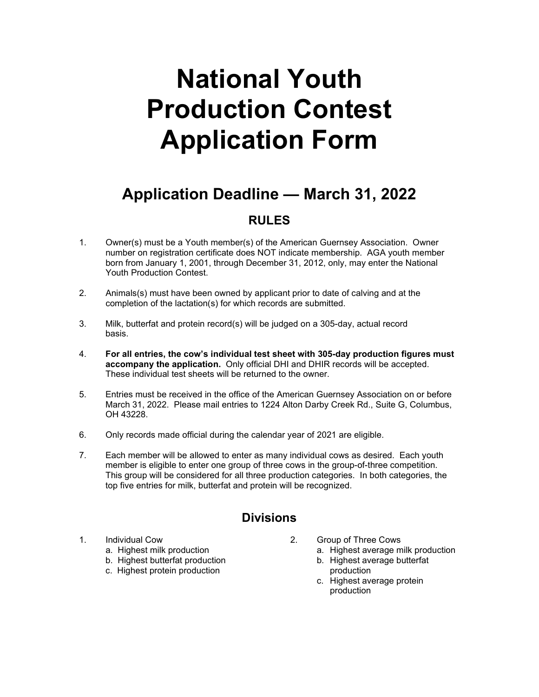## **National Youth Production Contest Application Form**

## **Application Deadline — March 31, 2022**

## **RULES**

- 1. Owner(s) must be a Youth member(s) of the American Guernsey Association. Owner number on registration certificate does NOT indicate membership. AGA youth member born from January 1, 2001, through December 31, 2012, only, may enter the National Youth Production Contest.
- 2. Animals(s) must have been owned by applicant prior to date of calving and at the completion of the lactation(s) for which records are submitted.
- 3. Milk, butterfat and protein record(s) will be judged on a 305-day, actual record basis.
- 4. **For all entries, the cow's individual test sheet with 305-day production figures must accompany the application.** Only official DHI and DHIR records will be accepted. These individual test sheets will be returned to the owner.
- 5. Entries must be received in the office of the American Guernsey Association on or before March 31, 2022. Please mail entries to 1224 Alton Darby Creek Rd., Suite G, Columbus, OH 43228.
- 6. Only records made official during the calendar year of 2021 are eligible.
- 7. Each member will be allowed to enter as many individual cows as desired. Each youth member is eligible to enter one group of three cows in the group-of-three competition. This group will be considered for all three production categories. In both categories, the top five entries for milk, butterfat and protein will be recognized.

## **Divisions**

- -
	- b. Highest butterfat production b. Highest average butterfat
	- c. Highest protein production production
- 1. Individual Cow 2. Group of Three Cows
	- a. Highest milk production a. Highest average milk production
		-
		- c. Highest average protein production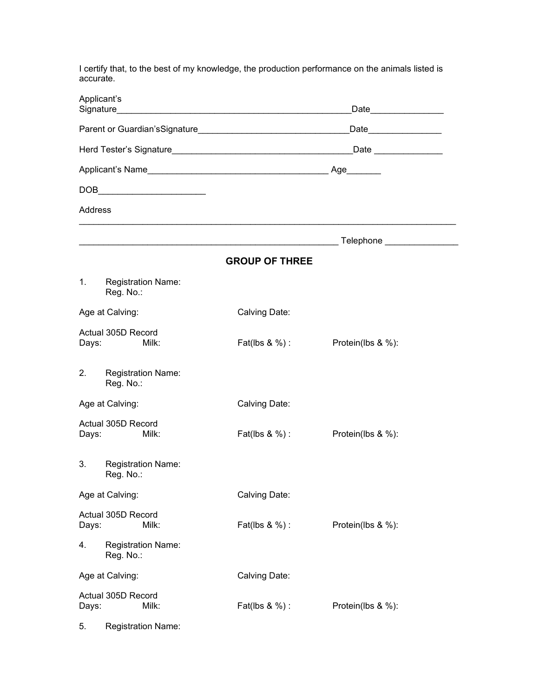I certify that, to the best of my knowledge, the production performance on the animals listed is accurate.

|                                      | Applicant's                                                                                                                                                                                                                                                                                                                                                                                 | _Date__________________ |                       |  |  |
|--------------------------------------|---------------------------------------------------------------------------------------------------------------------------------------------------------------------------------------------------------------------------------------------------------------------------------------------------------------------------------------------------------------------------------------------|-------------------------|-----------------------|--|--|
|                                      |                                                                                                                                                                                                                                                                                                                                                                                             | Date_______________     |                       |  |  |
|                                      |                                                                                                                                                                                                                                                                                                                                                                                             |                         | Date ________________ |  |  |
|                                      |                                                                                                                                                                                                                                                                                                                                                                                             |                         |                       |  |  |
|                                      | $\begin{picture}(180,10) \put(0,0){\dashbox{0.5}(10,0){ }} \put(10,0){\circle{10}} \put(10,0){\circle{10}} \put(10,0){\circle{10}} \put(10,0){\circle{10}} \put(10,0){\circle{10}} \put(10,0){\circle{10}} \put(10,0){\circle{10}} \put(10,0){\circle{10}} \put(10,0){\circle{10}} \put(10,0){\circle{10}} \put(10,0){\circle{10}} \put(10,0){\circle{10}} \put(10,0){\circle{10}} \put(10$ |                         |                       |  |  |
| Address                              |                                                                                                                                                                                                                                                                                                                                                                                             |                         |                       |  |  |
|                                      |                                                                                                                                                                                                                                                                                                                                                                                             |                         |                       |  |  |
|                                      |                                                                                                                                                                                                                                                                                                                                                                                             | <b>GROUP OF THREE</b>   |                       |  |  |
| 1.                                   | <b>Registration Name:</b><br>Reg. No.:                                                                                                                                                                                                                                                                                                                                                      |                         |                       |  |  |
| Age at Calving:                      |                                                                                                                                                                                                                                                                                                                                                                                             | Calving Date:           |                       |  |  |
| Days:                                | Actual 305D Record<br>Milk:                                                                                                                                                                                                                                                                                                                                                                 | Fat(lbs & %) :          | Protein(lbs & %):     |  |  |
| 2.                                   | <b>Registration Name:</b><br>Reg. No.:                                                                                                                                                                                                                                                                                                                                                      |                         |                       |  |  |
| Age at Calving:                      |                                                                                                                                                                                                                                                                                                                                                                                             | Calving Date:           |                       |  |  |
| Days:                                | Actual 305D Record<br>Milk:                                                                                                                                                                                                                                                                                                                                                                 | Fat(lbs $\&\%$ ) :      | Protein(lbs & %):     |  |  |
| 3.                                   | <b>Registration Name:</b><br>Reg. No.:                                                                                                                                                                                                                                                                                                                                                      |                         |                       |  |  |
| Age at Calving:                      |                                                                                                                                                                                                                                                                                                                                                                                             | Calving Date:           |                       |  |  |
| Days:                                | Actual 305D Record<br>Milk:                                                                                                                                                                                                                                                                                                                                                                 | Fat(lbs & %) :          | Protein(lbs & %):     |  |  |
| 4.                                   | <b>Registration Name:</b><br>Reg. No.:                                                                                                                                                                                                                                                                                                                                                      |                         |                       |  |  |
| Age at Calving:                      |                                                                                                                                                                                                                                                                                                                                                                                             | Calving Date:           |                       |  |  |
| Actual 305D Record<br>Milk:<br>Days: |                                                                                                                                                                                                                                                                                                                                                                                             | Fat(lbs & %) :          | Protein(lbs & %):     |  |  |
| 5.                                   | <b>Registration Name:</b>                                                                                                                                                                                                                                                                                                                                                                   |                         |                       |  |  |